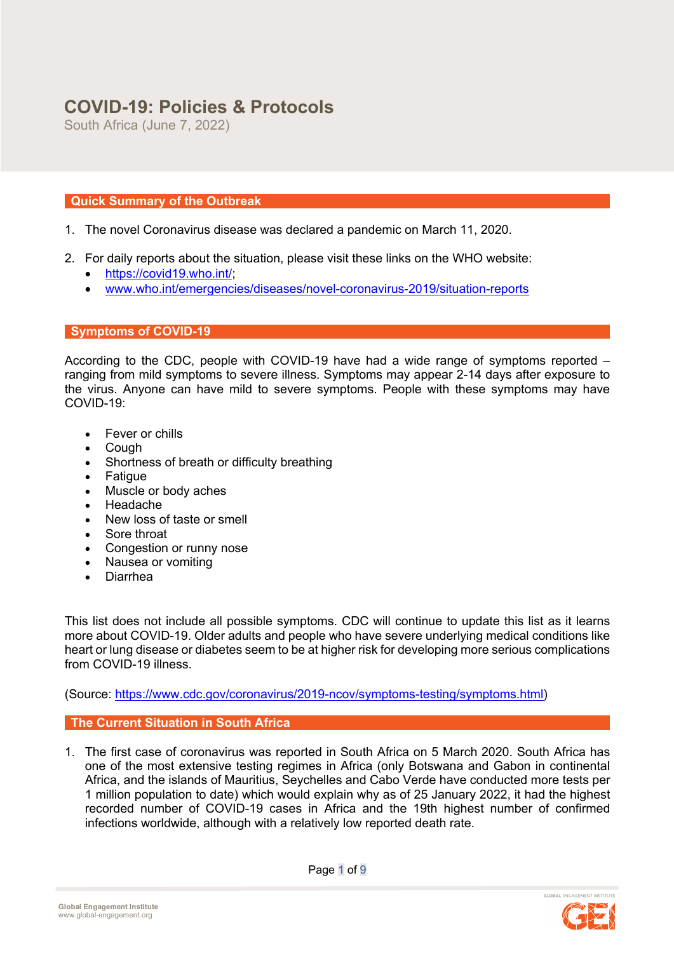# **COVID-19: Policies & Protocols**

South Africa (June 7, 2022)

## **Quick Summary of the Outbreak**

- 1. The novel Coronavirus disease was declared a pandemic on March 11, 2020.
- 2. For daily reports about the situation, please visit these links on the WHO website:
	- https://covid19.who.int/;
	- www.who.int/emergencies/diseases/novel-coronavirus-2019/situation-reports

#### **Symptoms of COVID-19**

According to the CDC, people with COVID-19 have had a wide range of symptoms reported – ranging from mild symptoms to severe illness. Symptoms may appear 2-14 days after exposure to the virus. Anyone can have mild to severe symptoms. People with these symptoms may have COVID-19:

- Fever or chills
- Cough
- Shortness of breath or difficulty breathing
- Fatigue
- Muscle or body aches
- Headache
- New loss of taste or smell
- Sore throat
- Congestion or runny nose
- Nausea or vomiting
- Diarrhea

This list does not include all possible symptoms. CDC will continue to update this list as it learns more about COVID-19. Older adults and people who have severe underlying medical conditions like heart or lung disease or diabetes seem to be at higher risk for developing more serious complications from COVID-19 illness.

(Source: https://www.cdc.gov/coronavirus/2019-ncov/symptoms-testing/symptoms.html)

#### **The Current Situation in South Africa**

1. The first case of coronavirus was reported in South Africa on 5 March 2020. South Africa has one of the most extensive testing regimes in Africa (only Botswana and Gabon in continental Africa, and the islands of Mauritius, Seychelles and Cabo Verde have conducted more tests per 1 million population to date) which would explain why as of 25 January 2022, it had the highest recorded number of COVID-19 cases in Africa and the 19th highest number of confirmed infections worldwide, although with a relatively low reported death rate.



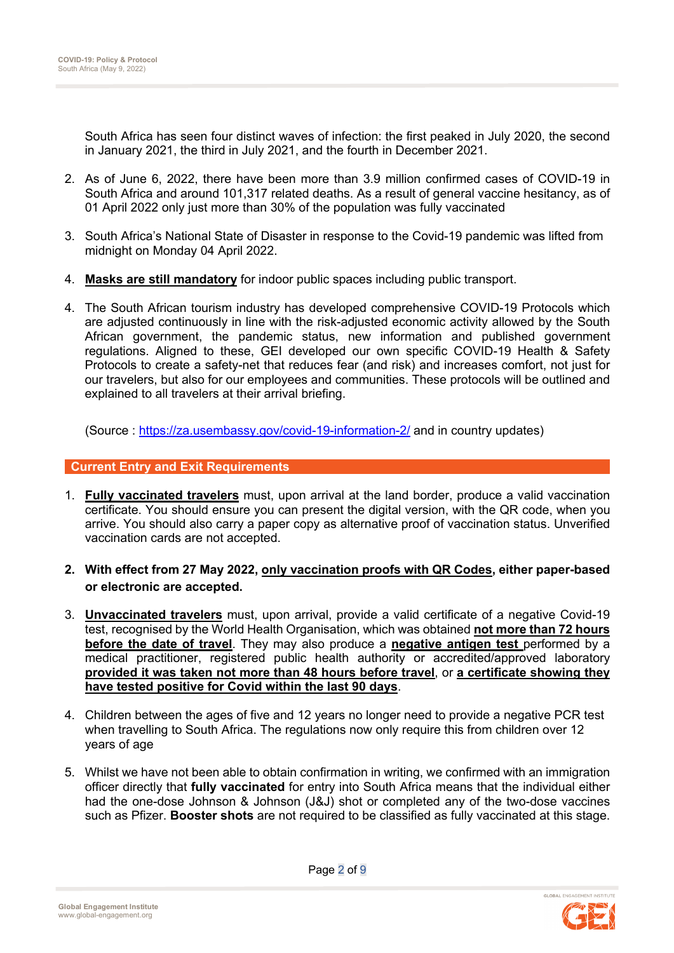South Africa has seen four distinct waves of infection: the first peaked in July 2020, the second in January 2021, the third in July 2021, and the fourth in December 2021.

- 2. As of June 6, 2022, there have been more than 3.9 million confirmed cases of COVID-19 in South Africa and around 101,317 related deaths. As a result of general vaccine hesitancy, as of 01 April 2022 only just more than 30% of the population was fully vaccinated
- 3. South Africa's National State of Disaster in response to the Covid-19 pandemic was lifted from midnight on Monday 04 April 2022.
- 4. **Masks are still mandatory** for indoor public spaces including public transport.
- 4. The South African tourism industry has developed comprehensive COVID-19 Protocols which are adjusted continuously in line with the risk-adjusted economic activity allowed by the South African government, the pandemic status, new information and published government regulations. Aligned to these, GEI developed our own specific COVID-19 Health & Safety Protocols to create a safety-net that reduces fear (and risk) and increases comfort, not just for our travelers, but also for our employees and communities. These protocols will be outlined and explained to all travelers at their arrival briefing.

(Source : https://za.usembassy.gov/covid-19-information-2/ and in country updates)

## **Current Entry and Exit Requirements**

- 1. **Fully vaccinated travelers** must, upon arrival at the land border, produce a valid vaccination certificate. You should ensure you can present the digital version, with the QR code, when you arrive. You should also carry a paper copy as alternative proof of vaccination status. Unverified vaccination cards are not accepted.
- **2. With effect from 27 May 2022, only vaccination proofs with QR Codes, either paper-based or electronic are accepted.**
- 3. **Unvaccinated travelers** must, upon arrival, provide a valid certificate of a negative Covid-19 test, recognised by the World Health Organisation, which was obtained **not more than 72 hours before the date of travel**. They may also produce a **negative antigen test** performed by a medical practitioner, registered public health authority or accredited/approved laboratory **provided it was taken not more than 48 hours before travel**, or **a certificate showing they have tested positive for Covid within the last 90 days**.
- 4. Children between the ages of five and 12 years no longer need to provide a negative PCR test when travelling to South Africa. The regulations now only require this from children over 12 years of age
- 5. Whilst we have not been able to obtain confirmation in writing, we confirmed with an immigration officer directly that **fully vaccinated** for entry into South Africa means that the individual either had the one-dose Johnson & Johnson (J&J) shot or completed any of the two-dose vaccines such as Pfizer. **Booster shots** are not required to be classified as fully vaccinated at this stage.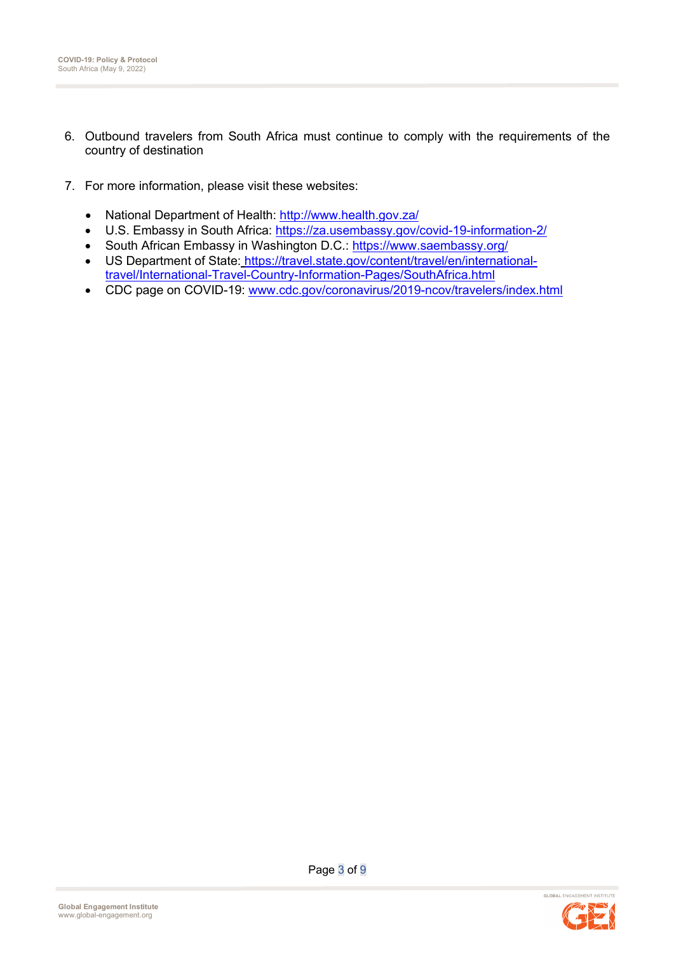- 6. Outbound travelers from South Africa must continue to comply with the requirements of the country of destination
- 7. For more information, please visit these websites:
	- National Department of Health: http://www.health.gov.za/
	- U.S. Embassy in South Africa: https://za.usembassy.gov/covid-19-information-2/
	- South African Embassy in Washington D.C.: https://www.saembassy.org/
	- US Department of State: https://travel.state.gov/content/travel/en/internationaltravel/International-Travel-Country-Information-Pages/SouthAfrica.html
	- CDC page on COVID-19: www.cdc.gov/coronavirus/2019-ncov/travelers/index.html

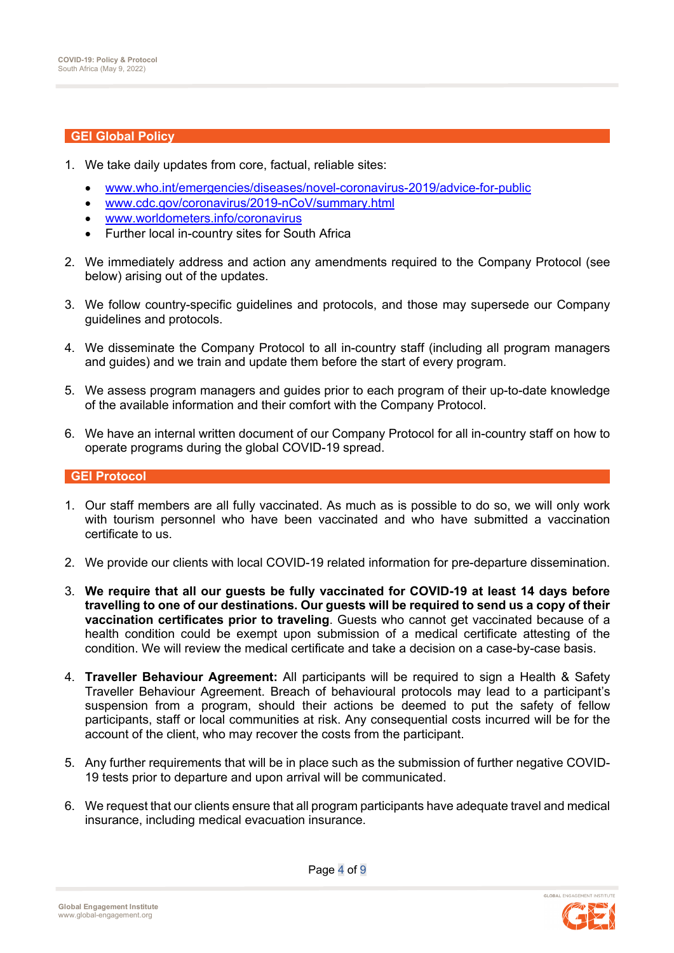#### **GEI Global Policy**

- 1. We take daily updates from core, factual, reliable sites:
	- www.who.int/emergencies/diseases/novel-coronavirus-2019/advice-for-public
	- www.cdc.gov/coronavirus/2019-nCoV/summary.html
	- www.worldometers.info/coronavirus
	- Further local in-country sites for South Africa
- 2. We immediately address and action any amendments required to the Company Protocol (see below) arising out of the updates.
- 3. We follow country-specific guidelines and protocols, and those may supersede our Company guidelines and protocols.
- 4. We disseminate the Company Protocol to all in-country staff (including all program managers and guides) and we train and update them before the start of every program.
- 5. We assess program managers and guides prior to each program of their up-to-date knowledge of the available information and their comfort with the Company Protocol.
- 6. We have an internal written document of our Company Protocol for all in-country staff on how to operate programs during the global COVID-19 spread.

#### **GEI Protocol**

- 1. Our staff members are all fully vaccinated. As much as is possible to do so, we will only work with tourism personnel who have been vaccinated and who have submitted a vaccination certificate to us.
- 2. We provide our clients with local COVID-19 related information for pre-departure dissemination.
- 3. **We require that all our guests be fully vaccinated for COVID-19 at least 14 days before travelling to one of our destinations. Our guests will be required to send us a copy of their vaccination certificates prior to traveling**. Guests who cannot get vaccinated because of a health condition could be exempt upon submission of a medical certificate attesting of the condition. We will review the medical certificate and take a decision on a case-by-case basis.
- 4. **Traveller Behaviour Agreement:** All participants will be required to sign a Health & Safety Traveller Behaviour Agreement. Breach of behavioural protocols may lead to a participant's suspension from a program, should their actions be deemed to put the safety of fellow participants, staff or local communities at risk. Any consequential costs incurred will be for the account of the client, who may recover the costs from the participant.
- 5. Any further requirements that will be in place such as the submission of further negative COVID-19 tests prior to departure and upon arrival will be communicated.
- 6. We request that our clients ensure that all program participants have adequate travel and medical insurance, including medical evacuation insurance.

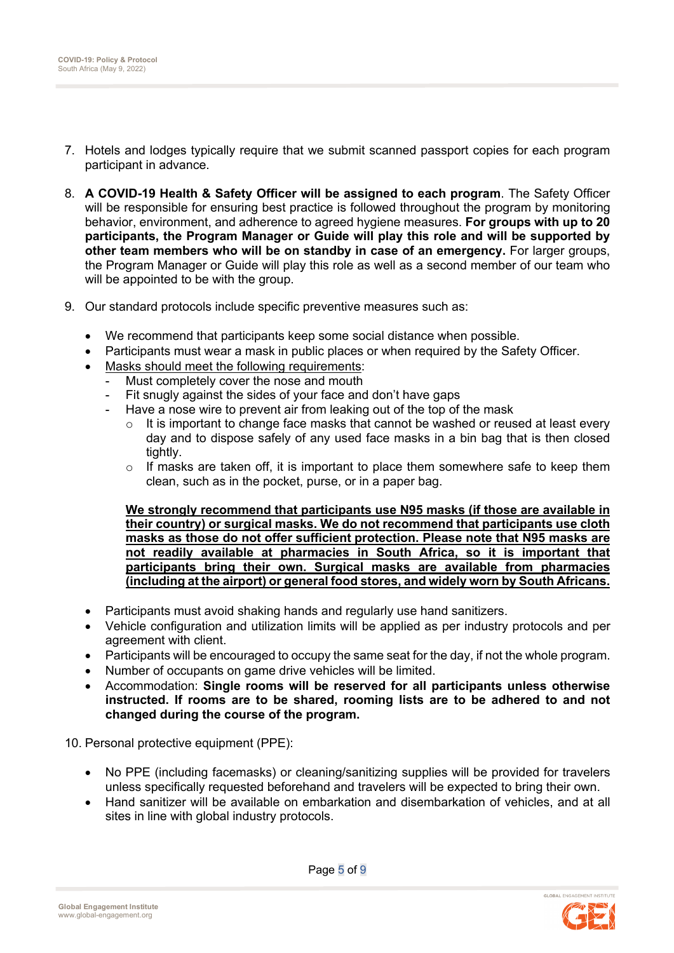- 7. Hotels and lodges typically require that we submit scanned passport copies for each program participant in advance.
- 8. **A COVID-19 Health & Safety Officer will be assigned to each program**. The Safety Officer will be responsible for ensuring best practice is followed throughout the program by monitoring behavior, environment, and adherence to agreed hygiene measures. **For groups with up to 20 participants, the Program Manager or Guide will play this role and will be supported by other team members who will be on standby in case of an emergency.** For larger groups, the Program Manager or Guide will play this role as well as a second member of our team who will be appointed to be with the group.
- 9. Our standard protocols include specific preventive measures such as:
	- We recommend that participants keep some social distance when possible.
	- Participants must wear a mask in public places or when required by the Safety Officer.
	- Masks should meet the following requirements:
	- Must completely cover the nose and mouth
		- Fit snugly against the sides of your face and don't have gaps
		- Have a nose wire to prevent air from leaking out of the top of the mask
			- $\circ$  It is important to change face masks that cannot be washed or reused at least every day and to dispose safely of any used face masks in a bin bag that is then closed tightly.
			- $\circ$  If masks are taken off, it is important to place them somewhere safe to keep them clean, such as in the pocket, purse, or in a paper bag.

**We strongly recommend that participants use N95 masks (if those are available in their country) or surgical masks. We do not recommend that participants use cloth masks as those do not offer sufficient protection. Please note that N95 masks are not readily available at pharmacies in South Africa, so it is important that participants bring their own. Surgical masks are available from pharmacies (including at the airport) or general food stores, and widely worn by South Africans.**

- Participants must avoid shaking hands and regularly use hand sanitizers.
- Vehicle configuration and utilization limits will be applied as per industry protocols and per agreement with client.
- Participants will be encouraged to occupy the same seat for the day, if not the whole program.
- Number of occupants on game drive vehicles will be limited.
- Accommodation: **Single rooms will be reserved for all participants unless otherwise instructed. If rooms are to be shared, rooming lists are to be adhered to and not changed during the course of the program.**

10. Personal protective equipment (PPE):

- No PPE (including facemasks) or cleaning/sanitizing supplies will be provided for travelers unless specifically requested beforehand and travelers will be expected to bring their own.
- Hand sanitizer will be available on embarkation and disembarkation of vehicles, and at all sites in line with global industry protocols.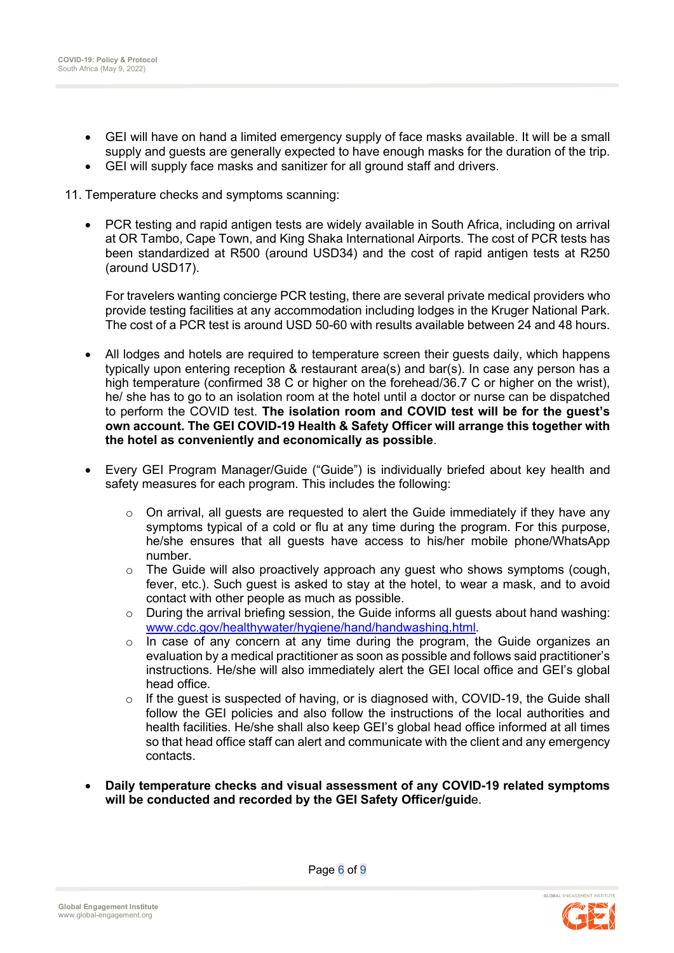- GEI will have on hand a limited emergency supply of face masks available. It will be a small supply and guests are generally expected to have enough masks for the duration of the trip.
- GEI will supply face masks and sanitizer for all ground staff and drivers.

11. Temperature checks and symptoms scanning:

• PCR testing and rapid antigen tests are widely available in South Africa, including on arrival at OR Tambo, Cape Town, and King Shaka International Airports. The cost of PCR tests has been standardized at R500 (around USD34) and the cost of rapid antigen tests at R250 (around USD17).

For travelers wanting concierge PCR testing, there are several private medical providers who provide testing facilities at any accommodation including lodges in the Kruger National Park. The cost of a PCR test is around USD 50-60 with results available between 24 and 48 hours.

- All lodges and hotels are required to temperature screen their guests daily, which happens typically upon entering reception & restaurant area(s) and bar(s). In case any person has a high temperature (confirmed 38 C or higher on the forehead/36.7 C or higher on the wrist), he/ she has to go to an isolation room at the hotel until a doctor or nurse can be dispatched to perform the COVID test. **The isolation room and COVID test will be for the guest's own account. The GEI COVID-19 Health & Safety Officer will arrange this together with the hotel as conveniently and economically as possible**.
- Every GEI Program Manager/Guide ("Guide") is individually briefed about key health and safety measures for each program. This includes the following:
	- o On arrival, all guests are requested to alert the Guide immediately if they have any symptoms typical of a cold or flu at any time during the program. For this purpose, he/she ensures that all guests have access to his/her mobile phone/WhatsApp number.
	- o The Guide will also proactively approach any guest who shows symptoms (cough, fever, etc.). Such guest is asked to stay at the hotel, to wear a mask, and to avoid contact with other people as much as possible.
	- o During the arrival briefing session, the Guide informs all guests about hand washing: www.cdc.gov/healthywater/hygiene/hand/handwashing.html.
	- $\circ$  In case of any concern at any time during the program, the Guide organizes an evaluation by a medical practitioner as soon as possible and follows said practitioner's instructions. He/she will also immediately alert the GEI local office and GEI's global head office.
	- o If the guest is suspected of having, or is diagnosed with, COVID-19, the Guide shall follow the GEI policies and also follow the instructions of the local authorities and health facilities. He/she shall also keep GEI's global head office informed at all times so that head office staff can alert and communicate with the client and any emergency contacts.
- **Daily temperature checks and visual assessment of any COVID-19 related symptoms will be conducted and recorded by the GEI Safety Officer/guid**e.

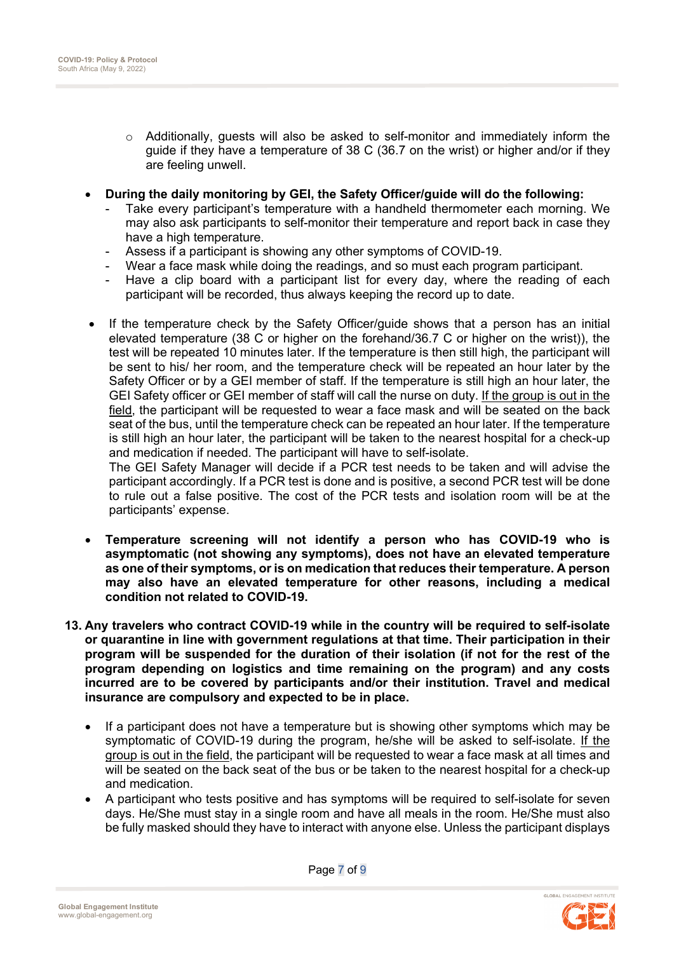- o Additionally, guests will also be asked to self-monitor and immediately inform the guide if they have a temperature of 38 C (36.7 on the wrist) or higher and/or if they are feeling unwell.
- **During the daily monitoring by GEI, the Safety Officer/guide will do the following:**
	- Take every participant's temperature with a handheld thermometer each morning. We may also ask participants to self-monitor their temperature and report back in case they have a high temperature.
	- Assess if a participant is showing any other symptoms of COVID-19.
	- Wear a face mask while doing the readings, and so must each program participant.
	- Have a clip board with a participant list for every day, where the reading of each participant will be recorded, thus always keeping the record up to date.
- If the temperature check by the Safety Officer/guide shows that a person has an initial elevated temperature (38 C or higher on the forehand/36.7 C or higher on the wrist)), the test will be repeated 10 minutes later. If the temperature is then still high, the participant will be sent to his/ her room, and the temperature check will be repeated an hour later by the Safety Officer or by a GEI member of staff. If the temperature is still high an hour later, the GEI Safety officer or GEI member of staff will call the nurse on duty. If the group is out in the field, the participant will be requested to wear a face mask and will be seated on the back seat of the bus, until the temperature check can be repeated an hour later. If the temperature is still high an hour later, the participant will be taken to the nearest hospital for a check-up and medication if needed. The participant will have to self-isolate.

The GEI Safety Manager will decide if a PCR test needs to be taken and will advise the participant accordingly. If a PCR test is done and is positive, a second PCR test will be done to rule out a false positive. The cost of the PCR tests and isolation room will be at the participants' expense.

- **Temperature screening will not identify a person who has COVID-19 who is asymptomatic (not showing any symptoms), does not have an elevated temperature as one of their symptoms, or is on medication that reduces their temperature. A person may also have an elevated temperature for other reasons, including a medical condition not related to COVID-19.**
- **13. Any travelers who contract COVID-19 while in the country will be required to self-isolate or quarantine in line with government regulations at that time. Their participation in their program will be suspended for the duration of their isolation (if not for the rest of the program depending on logistics and time remaining on the program) and any costs incurred are to be covered by participants and/or their institution. Travel and medical insurance are compulsory and expected to be in place.**
	- If a participant does not have a temperature but is showing other symptoms which may be symptomatic of COVID-19 during the program, he/she will be asked to self-isolate. If the group is out in the field, the participant will be requested to wear a face mask at all times and will be seated on the back seat of the bus or be taken to the nearest hospital for a check-up and medication.
	- A participant who tests positive and has symptoms will be required to self-isolate for seven days. He/She must stay in a single room and have all meals in the room. He/She must also be fully masked should they have to interact with anyone else. Unless the participant displays

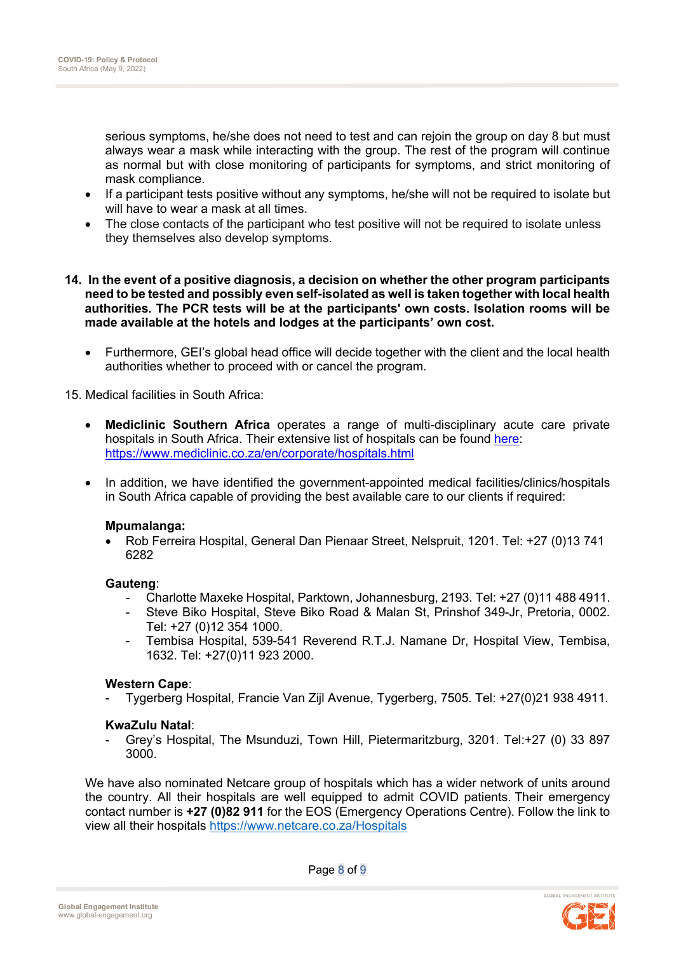serious symptoms, he/she does not need to test and can rejoin the group on day 8 but must always wear a mask while interacting with the group. The rest of the program will continue as normal but with close monitoring of participants for symptoms, and strict monitoring of mask compliance.

- If a participant tests positive without any symptoms, he/she will not be required to isolate but will have to wear a mask at all times.
- The close contacts of the participant who test positive will not be required to isolate unless they themselves also develop symptoms.

#### **14. In the event of a positive diagnosis, a decision on whether the other program participants need to be tested and possibly even self-isolated as well is taken together with local health authorities. The PCR tests will be at the participants' own costs. Isolation rooms will be made available at the hotels and lodges at the participants' own cost.**

• Furthermore, GEI's global head office will decide together with the client and the local health authorities whether to proceed with or cancel the program.

15. Medical facilities in South Africa:

- **Mediclinic Southern Africa** operates a range of multi-disciplinary acute care private hospitals in South Africa. Their extensive list of hospitals can be found here: https://www.mediclinic.co.za/en/corporate/hospitals.html
- In addition, we have identified the government-appointed medical facilities/clinics/hospitals in South Africa capable of providing the best available care to our clients if required:

## **Mpumalanga:**

• Rob Ferreira Hospital, General Dan Pienaar Street, Nelspruit, 1201. Tel: +27 (0)13 741 6282

## **Gauteng**:

- Charlotte Maxeke Hospital, Parktown, Johannesburg, 2193. Tel: +27 (0)11 488 4911.
- Steve Biko Hospital, Steve Biko Road & Malan St, Prinshof 349-Jr, Pretoria, 0002. Tel: +27 (0)12 354 1000.
- Tembisa Hospital, 539-541 Reverend R.T.J. Namane Dr, Hospital View, Tembisa, 1632. Tel: +27(0)11 923 2000.

# **Western Cape**:

- Tygerberg Hospital, Francie Van Zijl Avenue, Tygerberg, 7505. Tel: +27(0)21 938 4911.

## **KwaZulu Natal**:

- Grey's Hospital, The Msunduzi, Town Hill, Pietermaritzburg, 3201. Tel:+27 (0) 33 897 3000.

We have also nominated Netcare group of hospitals which has a wider network of units around the country. All their hospitals are well equipped to admit COVID patients. Their emergency contact number is **+27 (0)82 911** for the EOS (Emergency Operations Centre). Follow the link to view all their hospitals https://www.netcare.co.za/Hospitals